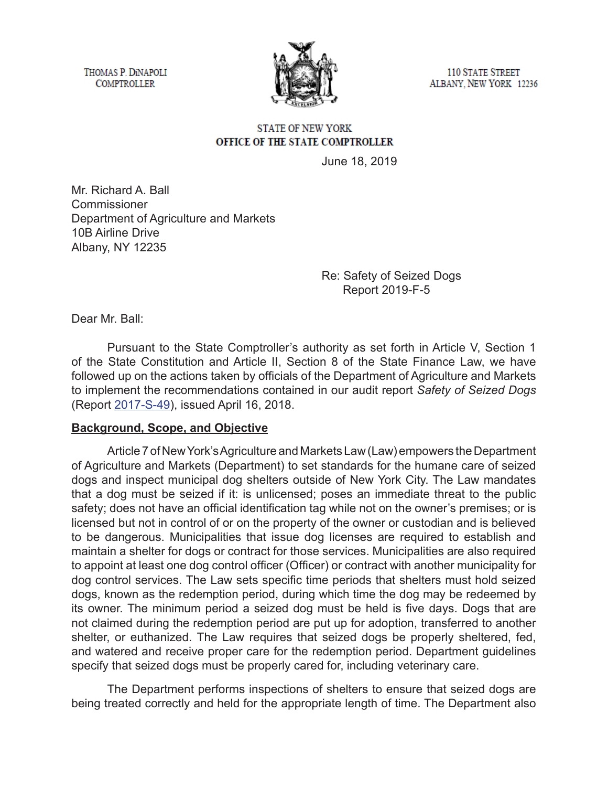THOMAS P. DINAPOLI **COMPTROLLER** 



**110 STATE STREET** ALBANY, NEW YORK 12236

### **STATE OF NEW YORK** OFFICE OF THE STATE COMPTROLLER

June 18, 2019

Mr. Richard A. Ball Commissioner Department of Agriculture and Markets 10B Airline Drive Albany, NY 12235

> Re: Safety of Seized Dogs Report 2019-F-5

Dear Mr. Ball:

Pursuant to the State Comptroller's authority as set forth in Article V, Section 1 of the State Constitution and Article II, Section 8 of the State Finance Law, we have followed up on the actions taken by officials of the Department of Agriculture and Markets to implement the recommendations contained in our audit report *Safety of Seized Dogs*  (Report [2017-S-49](https://www.osc.state.ny.us/audits/allaudits/093018/17s49.htm)), issued April 16, 2018.

### **Background, Scope, and Objective**

Article 7 of New York's Agriculture and Markets Law (Law) empowers the Department of Agriculture and Markets (Department) to set standards for the humane care of seized dogs and inspect municipal dog shelters outside of New York City. The Law mandates that a dog must be seized if it: is unlicensed; poses an immediate threat to the public safety; does not have an official identification tag while not on the owner's premises; or is licensed but not in control of or on the property of the owner or custodian and is believed to be dangerous. Municipalities that issue dog licenses are required to establish and maintain a shelter for dogs or contract for those services. Municipalities are also required to appoint at least one dog control officer (Officer) or contract with another municipality for dog control services. The Law sets specific time periods that shelters must hold seized dogs, known as the redemption period, during which time the dog may be redeemed by its owner. The minimum period a seized dog must be held is five days. Dogs that are not claimed during the redemption period are put up for adoption, transferred to another shelter, or euthanized. The Law requires that seized dogs be properly sheltered, fed, and watered and receive proper care for the redemption period. Department guidelines specify that seized dogs must be properly cared for, including veterinary care.

The Department performs inspections of shelters to ensure that seized dogs are being treated correctly and held for the appropriate length of time. The Department also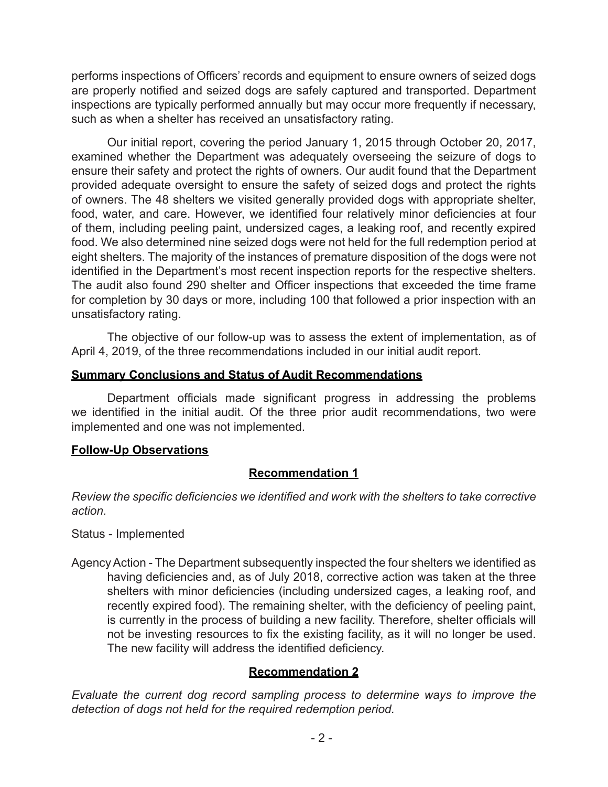performs inspections of Officers' records and equipment to ensure owners of seized dogs are properly notified and seized dogs are safely captured and transported. Department inspections are typically performed annually but may occur more frequently if necessary, such as when a shelter has received an unsatisfactory rating.

Our initial report, covering the period January 1, 2015 through October 20, 2017, examined whether the Department was adequately overseeing the seizure of dogs to ensure their safety and protect the rights of owners. Our audit found that the Department provided adequate oversight to ensure the safety of seized dogs and protect the rights of owners. The 48 shelters we visited generally provided dogs with appropriate shelter, food, water, and care. However, we identified four relatively minor deficiencies at four of them, including peeling paint, undersized cages, a leaking roof, and recently expired food. We also determined nine seized dogs were not held for the full redemption period at eight shelters. The majority of the instances of premature disposition of the dogs were not identified in the Department's most recent inspection reports for the respective shelters. The audit also found 290 shelter and Officer inspections that exceeded the time frame for completion by 30 days or more, including 100 that followed a prior inspection with an unsatisfactory rating.

The objective of our follow-up was to assess the extent of implementation, as of April 4, 2019, of the three recommendations included in our initial audit report.

### **Summary Conclusions and Status of Audit Recommendations**

Department officials made significant progress in addressing the problems we identified in the initial audit. Of the three prior audit recommendations, two were implemented and one was not implemented.

# **Follow-Up Observations**

# **Recommendation 1**

*Review the specific deficiencies we identified and work with the shelters to take corrective action.*

Status - Implemented

Agency Action - The Department subsequently inspected the four shelters we identified as having deficiencies and, as of July 2018, corrective action was taken at the three shelters with minor deficiencies (including undersized cages, a leaking roof, and recently expired food). The remaining shelter, with the deficiency of peeling paint, is currently in the process of building a new facility. Therefore, shelter officials will not be investing resources to fix the existing facility, as it will no longer be used. The new facility will address the identified deficiency.

# **Recommendation 2**

*Evaluate the current dog record sampling process to determine ways to improve the detection of dogs not held for the required redemption period.*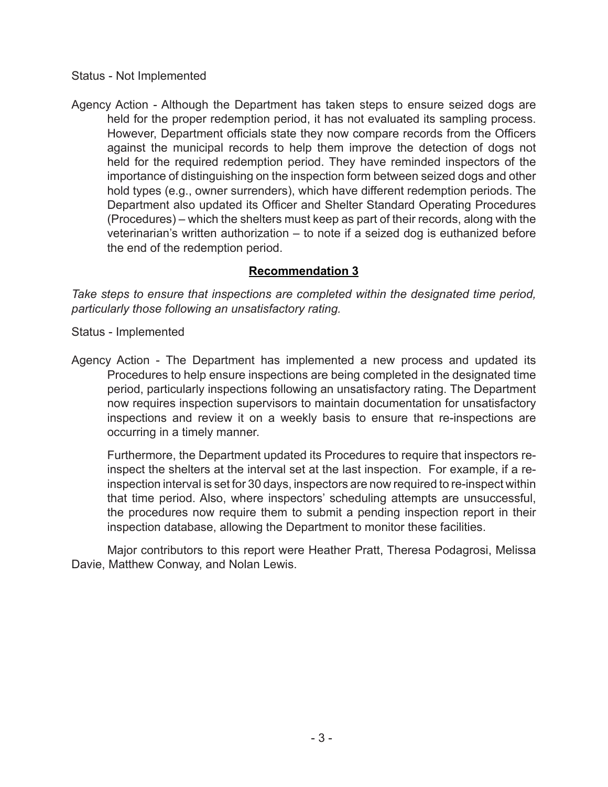Status - Not Implemented

Agency Action - Although the Department has taken steps to ensure seized dogs are held for the proper redemption period, it has not evaluated its sampling process. However, Department officials state they now compare records from the Officers against the municipal records to help them improve the detection of dogs not held for the required redemption period. They have reminded inspectors of the importance of distinguishing on the inspection form between seized dogs and other hold types (e.g., owner surrenders), which have different redemption periods. The Department also updated its Officer and Shelter Standard Operating Procedures (Procedures) – which the shelters must keep as part of their records, along with the veterinarian's written authorization – to note if a seized dog is euthanized before the end of the redemption period.

# **Recommendation 3**

*Take steps to ensure that inspections are completed within the designated time period, particularly those following an unsatisfactory rating.*

Status - Implemented

Agency Action - The Department has implemented a new process and updated its Procedures to help ensure inspections are being completed in the designated time period, particularly inspections following an unsatisfactory rating. The Department now requires inspection supervisors to maintain documentation for unsatisfactory inspections and review it on a weekly basis to ensure that re-inspections are occurring in a timely manner.

Furthermore, the Department updated its Procedures to require that inspectors reinspect the shelters at the interval set at the last inspection. For example, if a reinspection interval is set for 30 days, inspectors are now required to re-inspect within that time period. Also, where inspectors' scheduling attempts are unsuccessful, the procedures now require them to submit a pending inspection report in their inspection database, allowing the Department to monitor these facilities.

Major contributors to this report were Heather Pratt, Theresa Podagrosi, Melissa Davie, Matthew Conway, and Nolan Lewis.